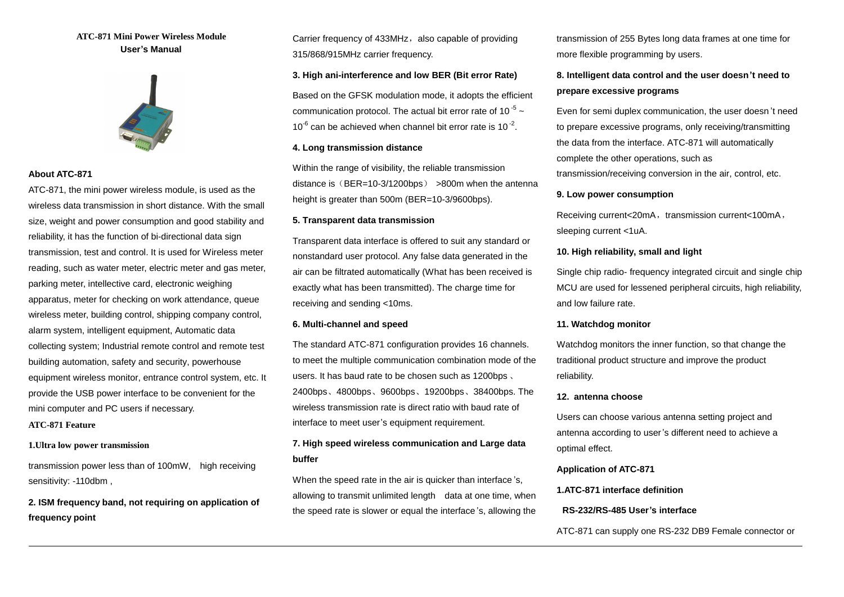# **ATC-871 Mini Power Wireless Module User's Manual**



## **About ATC-871**

ATC-871, the mini power wireless module, is used as the wireless data transmission in short distance. With the small size, weight and power consumption and good stability and reliability, it has the function of bi-directional data sign transmission, test and control. It is used for Wireless meter reading, such as water meter, electric meter and gas meter, parking meter, intellective card, electronic weighing apparatus, meter for checking on work attendance, queue wireless meter, building control, shipping company control, alarm system, intelligent equipment, Automatic data collecting system; Industrial remote control and remote test building automation, safety and security, powerhouse equipment wireless monitor, entrance control system, etc. It provide the USB power interface to be convenient for the mini computer and PC users if necessary.

# **ATC-871 Feature**

 $\overline{a}$ 

## **1.Ultra low power transmission**

transmission power less than of 100mW, high receiving sensitivity: -110dbm ,

**2. ISM frequency band, not requiring on application of frequency point** 

Carrier frequency of 433MHz, also capable of providing 315/868/915MHz carrier frequency.

#### **3. High ani-interference and low BER (Bit error Rate)**

Based on the GFSK modulation mode, it adopts the efficient communication protocol. The actual bit error rate of 10 $5$  ~  $10^{-6}$  can be achieved when channel bit error rate is  $10^{-2}$ .

## **4. Long transmission distance**

Within the range of visibility, the reliable transmission distance is  $(BER=10-3/1200bps)$  >800m when the antenna height is greater than 500m (BER=10-3/9600bps).

#### **5. Transparent data transmission**

Transparent data interface is offered to suit any standard or nonstandard user protocol. Any false data generated in the air can be filtrated automatically (What has been received is exactly what has been transmitted). The charge time for receiving and sending <10ms.

#### **6. Multi-channel and speed**

The standard ATC-871 configuration provides 16 channels. to meet the multiple communication combination mode of the users. It has baud rate to be chosen such as 1200bps 、 2400bps、4800bps、9600bps、19200bps、38400bps. The wireless transmission rate is direct ratio with baud rate of interface to meet user's equipment requirement.

# **7. High speed wireless communication and Large data buffer**

When the speed rate in the air is quicker than interface 's, allowing to transmit unlimited length data at one time, when the speed rate is slower or equal the interface 's, allowing the transmission of 255 Bytes long data frames at one time for more flexible programming by users.

# **8. Intelligent data control and the user doesn't need to prepare excessive programs**

Even for semi duplex communication, the user doesn 't need to prepare excessive programs, only receiving/transmitting the data from the interface. ATC-871 will automatically complete the other operations, such as transmission/receiving conversion in the air, control, etc.

#### **9. Low power consumption**

Receiving current<20mA, transmission current<100mA, sleeping current <1uA.

#### **10. High reliability, small and light**

Single chip radio- frequency integrated circuit and single chip MCU are used for lessened peripheral circuits, high reliability, and low failure rate.

#### **11. Watchdog monitor**

Watchdog monitors the inner function, so that change the traditional product structure and improve the product reliability.

#### **12. antenna choose**

Users can choose various antenna setting project and antenna according to user's different need to achieve a optimal effect.

## **Application of ATC-871**

**1.ATC-871 interface definition** 

#### **RS-232/RS-485 User's interface**

ATC-871 can supply one RS-232 DB9 Female connector or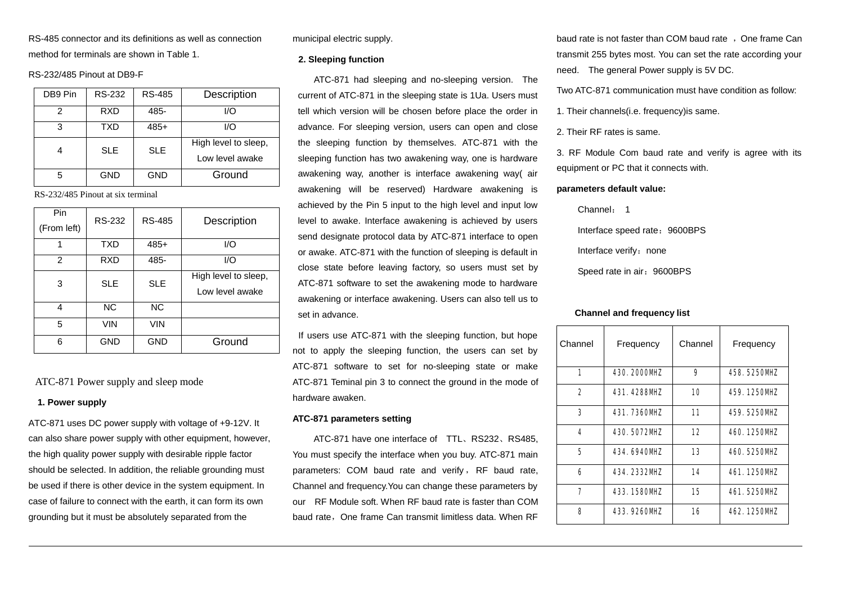RS-485 connector and its definitions as well as connection method for terminals are shown in Table 1.

#### RS-232/485 Pinout at DB9-F

| DB9 Pin | RS-232     | <b>RS-485</b> | Description                             |  |
|---------|------------|---------------|-----------------------------------------|--|
| 2       | <b>RXD</b> | 485-          | I/O                                     |  |
| 3       | <b>TXD</b> | $485+$        | I/O                                     |  |
|         | <b>SLE</b> | <b>SLE</b>    | High level to sleep,<br>Low level awake |  |
| 5       | GND        | <b>GND</b>    | Ground                                  |  |

RS-232/485 Pinout at six terminal

| Pin<br>(From left) | RS-232     | <b>RS-485</b> | Description                             |  |
|--------------------|------------|---------------|-----------------------------------------|--|
| 1                  | <b>TXD</b> | $485+$        | I/O                                     |  |
| 2                  | <b>RXD</b> | 485-          | I/O                                     |  |
| 3                  | <b>SLE</b> | <b>SLE</b>    | High level to sleep,<br>Low level awake |  |
| 4                  | <b>NC</b>  | <b>NC</b>     |                                         |  |
| 5                  | VIN        | VIN           |                                         |  |
| 6                  | <b>GND</b> | <b>GND</b>    | Ground                                  |  |

ATC-871 Power supply and sleep mode

#### **1. Power supply**

 $\overline{a}$ 

ATC-871 uses DC power supply with voltage of +9-12V. It can also share power supply with other equipment, however, the high quality power supply with desirable ripple factor should be selected. In addition, the reliable grounding must be used if there is other device in the system equipment. In case of failure to connect with the earth, it can form its own grounding but it must be absolutely separated from the

municipal electric supply.

#### **2. Sleeping function**

ATC-871 had sleeping and no-sleeping version. The current of ATC-871 in the sleeping state is 1Ua. Users must tell which version will be chosen before place the order in advance. For sleeping version, users can open and close the sleeping function by themselves. ATC-871 with the sleeping function has two awakening way, one is hardware awakening way, another is interface awakening way( air awakening will be reserved) Hardware awakening is achieved by the Pin 5 input to the high level and input low level to awake. Interface awakening is achieved by users send designate protocol data by ATC-871 interface to open or awake. ATC-871 with the function of sleeping is default in close state before leaving factory, so users must set by ATC-871 software to set the awakening mode to hardware awakening or interface awakening. Users can also tell us to set in advance.

If users use ATC-871 with the sleeping function, but hope not to apply the sleeping function, the users can set by ATC-871 software to set for no-sleeping state or make ATC-871 Teminal pin 3 to connect the ground in the mode of hardware awaken.

#### **ATC-871 parameters setting**

ATC-871 have one interface of TTL、RS232、RS485, You must specify the interface when you buy. ATC-871 main parameters: COM baud rate and verify, RF baud rate, Channel and frequency.You can change these parameters by our RF Module soft. When RF baud rate is faster than COM baud rate, One frame Can transmit limitless data. When RF

baud rate is not faster than COM baud rate, One frame Can transmit 255 bytes most. You can set the rate according your need. The general Power supply is 5V DC.

Two ATC-871 communication must have condition as follow:

1. Their channels(i.e. frequency)is same.

2. Their RF rates is same.

3. RF Module Com baud rate and verify is agree with its equipment or PC that it connects with.

#### **parameters default value:**

Channel: 1

Interface speed rate: 9600BPS

Interface verify: none

Speed rate in air: 9600BPS

#### **Channel and frequency list**

| Channel | Frequency                      | Channel           | Frequency           |
|---------|--------------------------------|-------------------|---------------------|
| 1       | 430 200 <b>0 MZ</b>            | 9                 | 488 5250WZ          |
| 2       | 431.428BW <b>Z</b>             | 10                | 459.1250WZ          |
| 3       | <b>431. 736DWL</b>             | 11                | <b>469 5250WZ</b>   |
| 4       | <b>430 5372NPL</b>             | $12 \ \mathsf{d}$ | 4401250WZ           |
| 5       | 434 <del>69</del> 4 <b>0WE</b> | 13                | 460 525 <b>TWZ</b>  |
| 6       | 434 2332N <b>P</b>             | 14                | 461.125 <b>NT</b>   |
| 7       | 433 158 <b>0 WZ</b>            | 15                | <b>461, 525TWZ</b>  |
| 8       | 433 92K <b>NTZ</b>             | 16                | 462 125 <b>0 PL</b> |